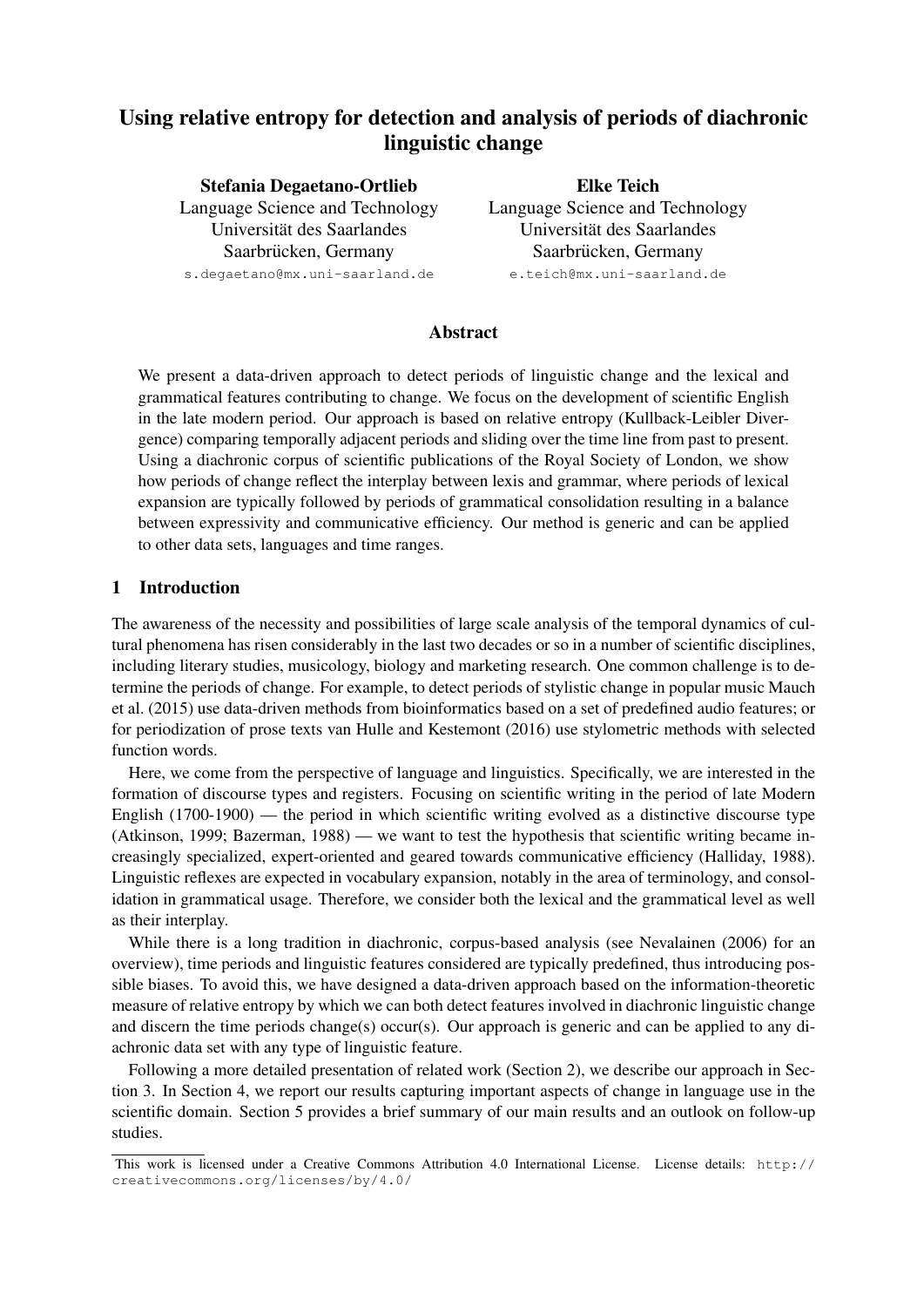# Using relative entropy for detection and analysis of periods of diachronic linguistic change

Stefania Degaetano-Ortlieb Language Science and Technology Universität des Saarlandes Saarbrücken, Germany s.degaetano@mx.uni-saarland.de

Elke Teich Language Science and Technology Universität des Saarlandes Saarbrücken, Germany e.teich@mx.uni-saarland.de

# Abstract

We present a data-driven approach to detect periods of linguistic change and the lexical and grammatical features contributing to change. We focus on the development of scientific English in the late modern period. Our approach is based on relative entropy (Kullback-Leibler Divergence) comparing temporally adjacent periods and sliding over the time line from past to present. Using a diachronic corpus of scientific publications of the Royal Society of London, we show how periods of change reflect the interplay between lexis and grammar, where periods of lexical expansion are typically followed by periods of grammatical consolidation resulting in a balance between expressivity and communicative efficiency. Our method is generic and can be applied to other data sets, languages and time ranges.

# 1 Introduction

The awareness of the necessity and possibilities of large scale analysis of the temporal dynamics of cultural phenomena has risen considerably in the last two decades or so in a number of scientific disciplines, including literary studies, musicology, biology and marketing research. One common challenge is to determine the periods of change. For example, to detect periods of stylistic change in popular music Mauch et al. (2015) use data-driven methods from bioinformatics based on a set of predefined audio features; or for periodization of prose texts van Hulle and Kestemont (2016) use stylometric methods with selected function words.

Here, we come from the perspective of language and linguistics. Specifically, we are interested in the formation of discourse types and registers. Focusing on scientific writing in the period of late Modern English (1700-1900) — the period in which scientific writing evolved as a distinctive discourse type (Atkinson, 1999; Bazerman, 1988) — we want to test the hypothesis that scientific writing became increasingly specialized, expert-oriented and geared towards communicative efficiency (Halliday, 1988). Linguistic reflexes are expected in vocabulary expansion, notably in the area of terminology, and consolidation in grammatical usage. Therefore, we consider both the lexical and the grammatical level as well as their interplay.

While there is a long tradition in diachronic, corpus-based analysis (see Nevalainen (2006) for an overview), time periods and linguistic features considered are typically predefined, thus introducing possible biases. To avoid this, we have designed a data-driven approach based on the information-theoretic measure of relative entropy by which we can both detect features involved in diachronic linguistic change and discern the time periods change(s) occur(s). Our approach is generic and can be applied to any diachronic data set with any type of linguistic feature.

Following a more detailed presentation of related work (Section 2), we describe our approach in Section 3. In Section 4, we report our results capturing important aspects of change in language use in the scientific domain. Section 5 provides a brief summary of our main results and an outlook on follow-up studies.

This work is licensed under a Creative Commons Attribution 4.0 International License. License details: http:// creativecommons.org/licenses/by/4.0/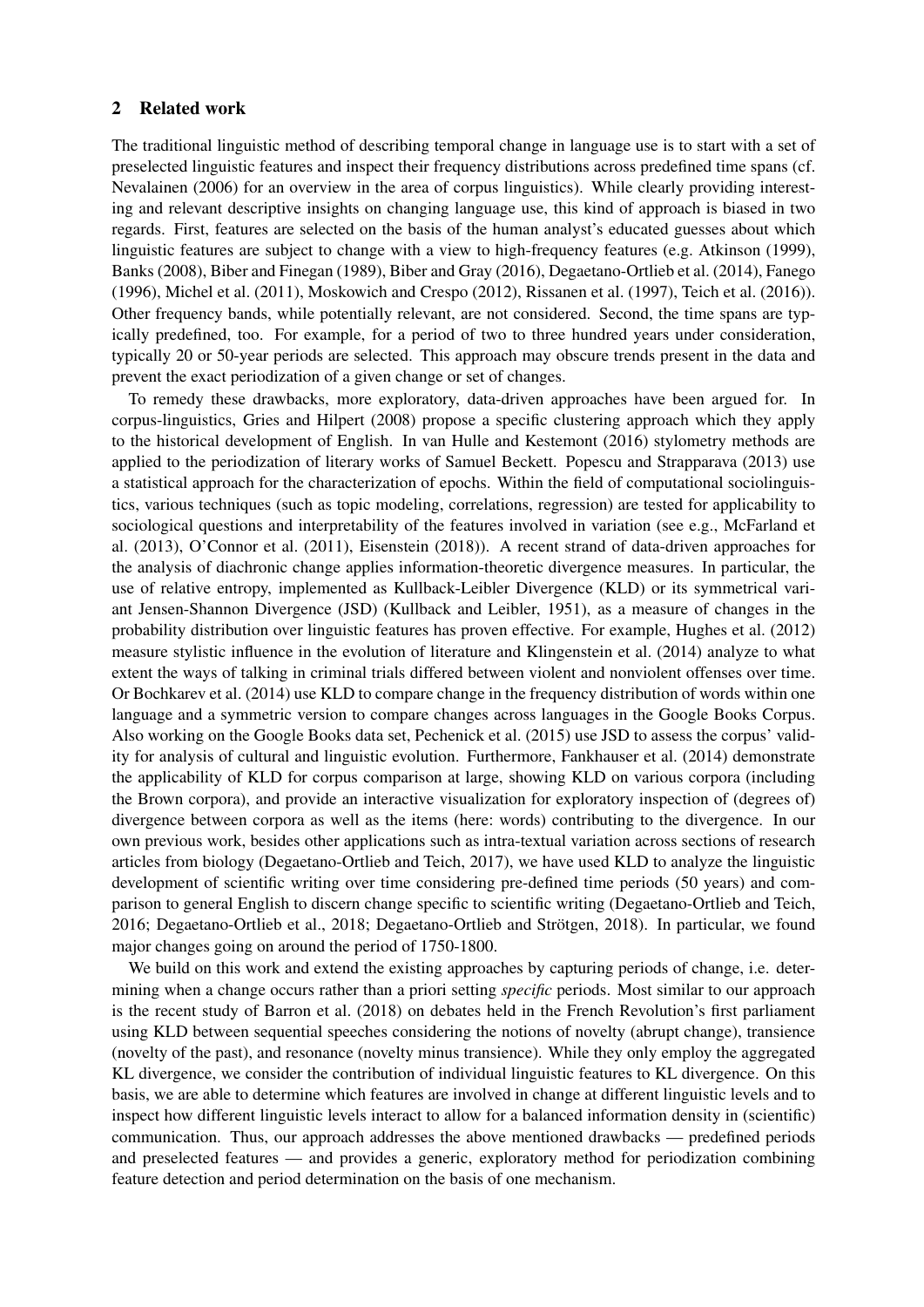#### 2 Related work

The traditional linguistic method of describing temporal change in language use is to start with a set of preselected linguistic features and inspect their frequency distributions across predefined time spans (cf. Nevalainen (2006) for an overview in the area of corpus linguistics). While clearly providing interesting and relevant descriptive insights on changing language use, this kind of approach is biased in two regards. First, features are selected on the basis of the human analyst's educated guesses about which linguistic features are subject to change with a view to high-frequency features (e.g. Atkinson (1999), Banks (2008), Biber and Finegan (1989), Biber and Gray (2016), Degaetano-Ortlieb et al. (2014), Fanego (1996), Michel et al. (2011), Moskowich and Crespo (2012), Rissanen et al. (1997), Teich et al. (2016)). Other frequency bands, while potentially relevant, are not considered. Second, the time spans are typically predefined, too. For example, for a period of two to three hundred years under consideration, typically 20 or 50-year periods are selected. This approach may obscure trends present in the data and prevent the exact periodization of a given change or set of changes.

To remedy these drawbacks, more exploratory, data-driven approaches have been argued for. In corpus-linguistics, Gries and Hilpert (2008) propose a specific clustering approach which they apply to the historical development of English. In van Hulle and Kestemont (2016) stylometry methods are applied to the periodization of literary works of Samuel Beckett. Popescu and Strapparava (2013) use a statistical approach for the characterization of epochs. Within the field of computational sociolinguistics, various techniques (such as topic modeling, correlations, regression) are tested for applicability to sociological questions and interpretability of the features involved in variation (see e.g., McFarland et al. (2013), O'Connor et al. (2011), Eisenstein (2018)). A recent strand of data-driven approaches for the analysis of diachronic change applies information-theoretic divergence measures. In particular, the use of relative entropy, implemented as Kullback-Leibler Divergence (KLD) or its symmetrical variant Jensen-Shannon Divergence (JSD) (Kullback and Leibler, 1951), as a measure of changes in the probability distribution over linguistic features has proven effective. For example, Hughes et al. (2012) measure stylistic influence in the evolution of literature and Klingenstein et al. (2014) analyze to what extent the ways of talking in criminal trials differed between violent and nonviolent offenses over time. Or Bochkarev et al. (2014) use KLD to compare change in the frequency distribution of words within one language and a symmetric version to compare changes across languages in the Google Books Corpus. Also working on the Google Books data set, Pechenick et al. (2015) use JSD to assess the corpus' validity for analysis of cultural and linguistic evolution. Furthermore, Fankhauser et al. (2014) demonstrate the applicability of KLD for corpus comparison at large, showing KLD on various corpora (including the Brown corpora), and provide an interactive visualization for exploratory inspection of (degrees of) divergence between corpora as well as the items (here: words) contributing to the divergence. In our own previous work, besides other applications such as intra-textual variation across sections of research articles from biology (Degaetano-Ortlieb and Teich, 2017), we have used KLD to analyze the linguistic development of scientific writing over time considering pre-defined time periods (50 years) and comparison to general English to discern change specific to scientific writing (Degaetano-Ortlieb and Teich, 2016; Degaetano-Ortlieb et al., 2018; Degaetano-Ortlieb and Strötgen, 2018). In particular, we found major changes going on around the period of 1750-1800.

We build on this work and extend the existing approaches by capturing periods of change, i.e. determining when a change occurs rather than a priori setting *specific* periods. Most similar to our approach is the recent study of Barron et al. (2018) on debates held in the French Revolution's first parliament using KLD between sequential speeches considering the notions of novelty (abrupt change), transience (novelty of the past), and resonance (novelty minus transience). While they only employ the aggregated KL divergence, we consider the contribution of individual linguistic features to KL divergence. On this basis, we are able to determine which features are involved in change at different linguistic levels and to inspect how different linguistic levels interact to allow for a balanced information density in (scientific) communication. Thus, our approach addresses the above mentioned drawbacks — predefined periods and preselected features — and provides a generic, exploratory method for periodization combining feature detection and period determination on the basis of one mechanism.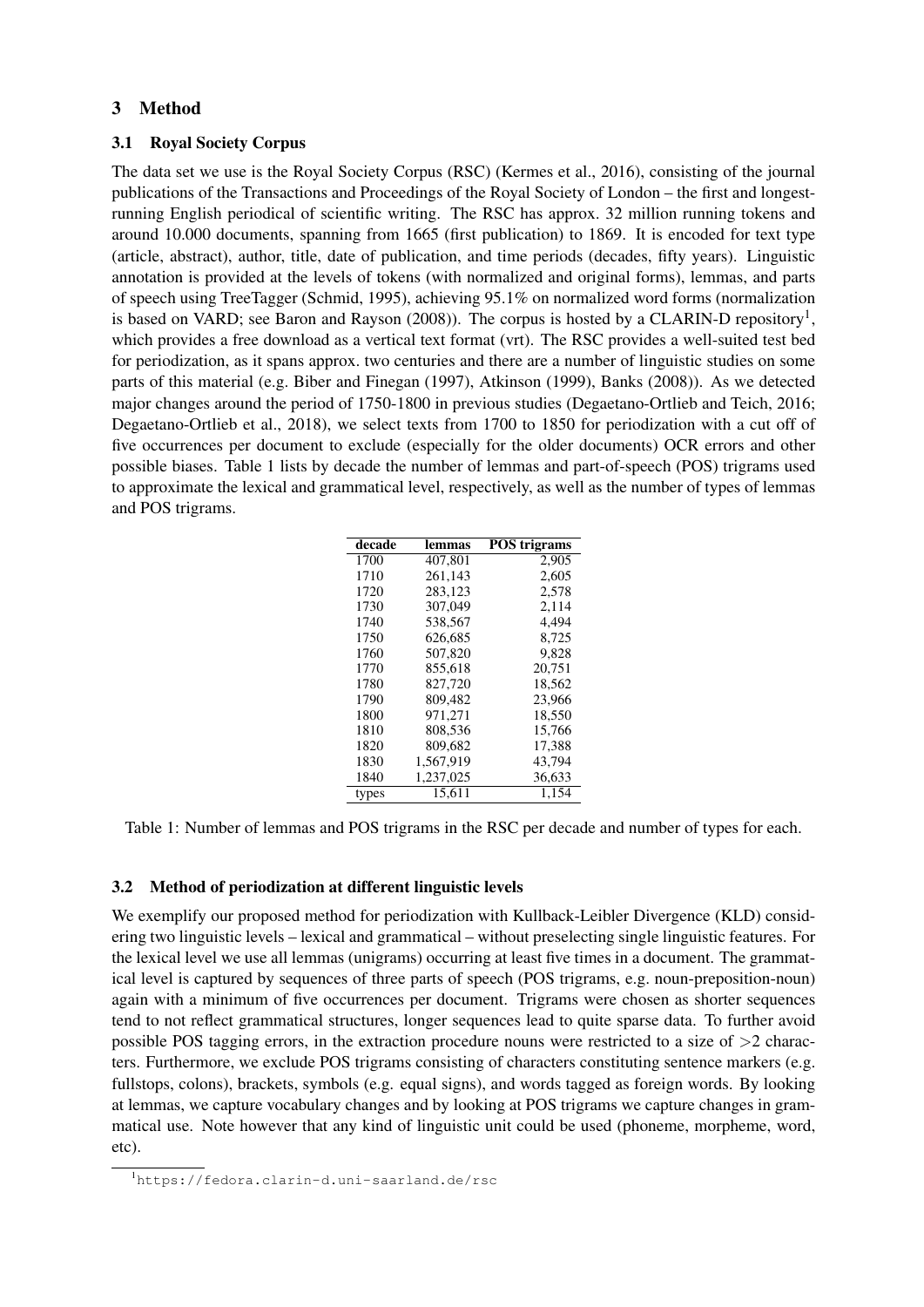# 3 Method

# 3.1 Royal Society Corpus

The data set we use is the Royal Society Corpus (RSC) (Kermes et al., 2016), consisting of the journal publications of the Transactions and Proceedings of the Royal Society of London – the first and longestrunning English periodical of scientific writing. The RSC has approx. 32 million running tokens and around 10.000 documents, spanning from 1665 (first publication) to 1869. It is encoded for text type (article, abstract), author, title, date of publication, and time periods (decades, fifty years). Linguistic annotation is provided at the levels of tokens (with normalized and original forms), lemmas, and parts of speech using TreeTagger (Schmid, 1995), achieving 95.1% on normalized word forms (normalization is based on VARD; see Baron and Rayson (2008)). The corpus is hosted by a CLARIN-D repository<sup>1</sup>, which provides a free download as a vertical text format (vrt). The RSC provides a well-suited test bed for periodization, as it spans approx. two centuries and there are a number of linguistic studies on some parts of this material (e.g. Biber and Finegan (1997), Atkinson (1999), Banks (2008)). As we detected major changes around the period of 1750-1800 in previous studies (Degaetano-Ortlieb and Teich, 2016; Degaetano-Ortlieb et al., 2018), we select texts from 1700 to 1850 for periodization with a cut off of five occurrences per document to exclude (especially for the older documents) OCR errors and other possible biases. Table 1 lists by decade the number of lemmas and part-of-speech (POS) trigrams used to approximate the lexical and grammatical level, respectively, as well as the number of types of lemmas and POS trigrams.

| decade | lemmas    | <b>POS</b> trigrams |
|--------|-----------|---------------------|
| 1700   | 407,801   | 2.905               |
| 1710   | 261.143   | 2,605               |
| 1720   | 283.123   | 2,578               |
| 1730   | 307,049   | 2.114               |
| 1740   | 538.567   | 4.494               |
| 1750   | 626.685   | 8,725               |
| 1760   | 507,820   | 9.828               |
| 1770   | 855.618   | 20,751              |
| 1780   | 827,720   | 18.562              |
| 1790   | 809,482   | 23.966              |
| 1800   | 971.271   | 18,550              |
| 1810   | 808,536   | 15,766              |
| 1820   | 809.682   | 17,388              |
| 1830   | 1,567,919 | 43.794              |
| 1840   | 1,237,025 | 36,633              |
| types  | 15,611    | 1.154               |

Table 1: Number of lemmas and POS trigrams in the RSC per decade and number of types for each.

## 3.2 Method of periodization at different linguistic levels

We exemplify our proposed method for periodization with Kullback-Leibler Divergence (KLD) considering two linguistic levels – lexical and grammatical – without preselecting single linguistic features. For the lexical level we use all lemmas (unigrams) occurring at least five times in a document. The grammatical level is captured by sequences of three parts of speech (POS trigrams, e.g. noun-preposition-noun) again with a minimum of five occurrences per document. Trigrams were chosen as shorter sequences tend to not reflect grammatical structures, longer sequences lead to quite sparse data. To further avoid possible POS tagging errors, in the extraction procedure nouns were restricted to a size of  $>2$  characters. Furthermore, we exclude POS trigrams consisting of characters constituting sentence markers (e.g. fullstops, colons), brackets, symbols (e.g. equal signs), and words tagged as foreign words. By looking at lemmas, we capture vocabulary changes and by looking at POS trigrams we capture changes in grammatical use. Note however that any kind of linguistic unit could be used (phoneme, morpheme, word, etc).

<sup>1</sup>https://fedora.clarin-d.uni-saarland.de/rsc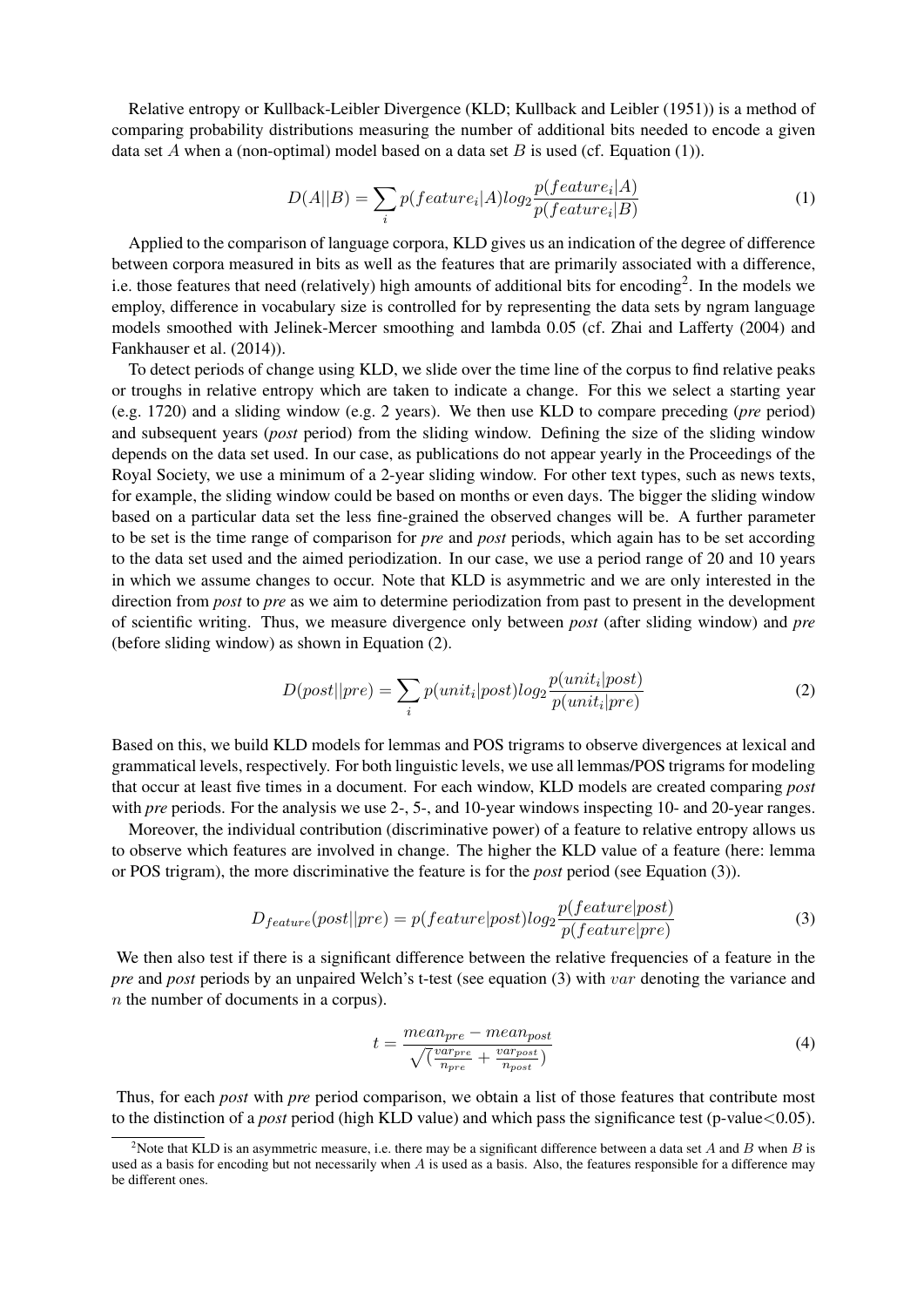Relative entropy or Kullback-Leibler Divergence (KLD; Kullback and Leibler (1951)) is a method of comparing probability distributions measuring the number of additional bits needed to encode a given data set A when a (non-optimal) model based on a data set B is used (cf. Equation (1)).

$$
D(A||B) = \sum_{i} p(feature_i|A)log_2 \frac{p(feature_i|A)}{p(feature_i|B)}
$$
(1)

Applied to the comparison of language corpora, KLD gives us an indication of the degree of difference between corpora measured in bits as well as the features that are primarily associated with a difference, i.e. those features that need (relatively) high amounts of additional bits for encoding<sup>2</sup>. In the models we employ, difference in vocabulary size is controlled for by representing the data sets by ngram language models smoothed with Jelinek-Mercer smoothing and lambda 0.05 (cf. Zhai and Lafferty (2004) and Fankhauser et al. (2014)).

To detect periods of change using KLD, we slide over the time line of the corpus to find relative peaks or troughs in relative entropy which are taken to indicate a change. For this we select a starting year (e.g. 1720) and a sliding window (e.g. 2 years). We then use KLD to compare preceding (*pre* period) and subsequent years (*post* period) from the sliding window. Defining the size of the sliding window depends on the data set used. In our case, as publications do not appear yearly in the Proceedings of the Royal Society, we use a minimum of a 2-year sliding window. For other text types, such as news texts, for example, the sliding window could be based on months or even days. The bigger the sliding window based on a particular data set the less fine-grained the observed changes will be. A further parameter to be set is the time range of comparison for *pre* and *post* periods, which again has to be set according to the data set used and the aimed periodization. In our case, we use a period range of 20 and 10 years in which we assume changes to occur. Note that KLD is asymmetric and we are only interested in the direction from *post* to *pre* as we aim to determine periodization from past to present in the development of scientific writing. Thus, we measure divergence only between *post* (after sliding window) and *pre* (before sliding window) as shown in Equation (2).

$$
D(post||pre) = \sum_{i} p(unit_i|post)log_2 \frac{p(unit_i|post)}{p(unit_i|pre)}
$$
(2)

Based on this, we build KLD models for lemmas and POS trigrams to observe divergences at lexical and grammatical levels, respectively. For both linguistic levels, we use all lemmas/POS trigrams for modeling that occur at least five times in a document. For each window, KLD models are created comparing *post* with *pre* periods. For the analysis we use 2-, 5-, and 10-year windows inspecting 10- and 20-year ranges.

Moreover, the individual contribution (discriminative power) of a feature to relative entropy allows us to observe which features are involved in change. The higher the KLD value of a feature (here: lemma or POS trigram), the more discriminative the feature is for the *post* period (see Equation (3)).

$$
D_{feature}(post||pre) = p(feature|post)log_2 \frac{p(feature|post)}{p(feature|pre)}\tag{3}
$$

We then also test if there is a significant difference between the relative frequencies of a feature in the *pre* and *post* periods by an unpaired Welch's t-test (see equation (3) with var denoting the variance and n the number of documents in a corpus).

$$
t = \frac{mean_{pre} - mean_{post}}{\sqrt{(\frac{var_{pre}}{n_{pre}} + \frac{var_{post}}{n_{post}})}}
$$
(4)

Thus, for each *post* with *pre* period comparison, we obtain a list of those features that contribute most to the distinction of a *post* period (high KLD value) and which pass the significance test (p-value<0.05).

<sup>&</sup>lt;sup>2</sup>Note that KLD is an asymmetric measure, i.e. there may be a significant difference between a data set A and B when B is used as a basis for encoding but not necessarily when A is used as a basis. Also, the features responsible for a difference may be different ones.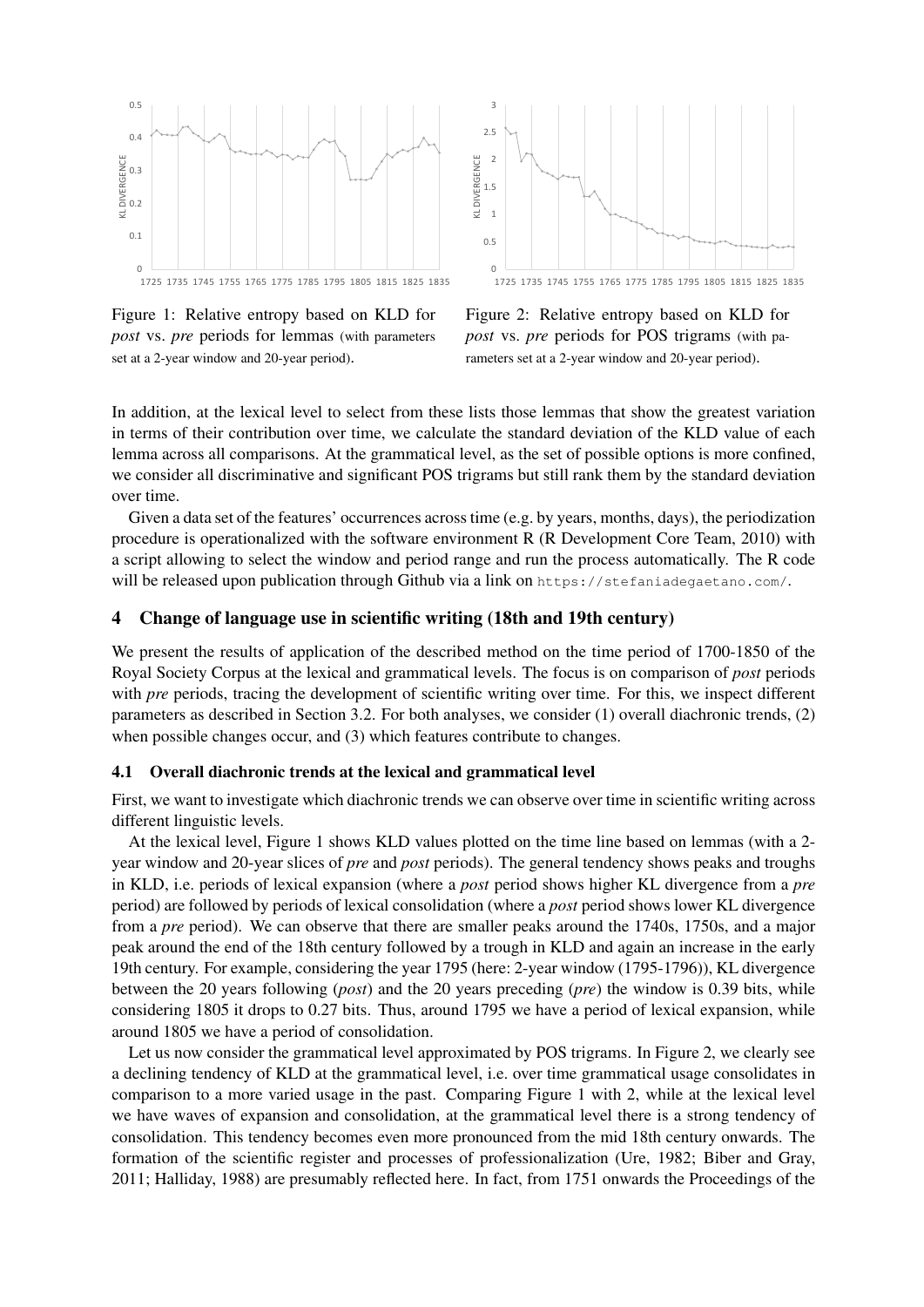

Figure 1: Relative entropy based on KLD for *post* vs. *pre* periods for lemmas (with parameters set at a 2-year window and 20-year period).



Figure 2: Relative entropy based on KLD for *post* vs. *pre* periods for POS trigrams (with parameters set at a 2-year window and 20-year period).

In addition, at the lexical level to select from these lists those lemmas that show the greatest variation in terms of their contribution over time, we calculate the standard deviation of the KLD value of each lemma across all comparisons. At the grammatical level, as the set of possible options is more confined, we consider all discriminative and significant POS trigrams but still rank them by the standard deviation over time.

Given a data set of the features' occurrences across time (e.g. by years, months, days), the periodization procedure is operationalized with the software environment R (R Development Core Team, 2010) with a script allowing to select the window and period range and run the process automatically. The R code will be released upon publication through Github via a link on https://stefaniadegaetano.com/.

## 4 Change of language use in scientific writing (18th and 19th century)

We present the results of application of the described method on the time period of 1700-1850 of the Royal Society Corpus at the lexical and grammatical levels. The focus is on comparison of *post* periods with *pre* periods, tracing the development of scientific writing over time. For this, we inspect different parameters as described in Section 3.2. For both analyses, we consider (1) overall diachronic trends, (2) when possible changes occur, and (3) which features contribute to changes.

## 4.1 Overall diachronic trends at the lexical and grammatical level

First, we want to investigate which diachronic trends we can observe over time in scientific writing across different linguistic levels.

At the lexical level, Figure 1 shows KLD values plotted on the time line based on lemmas (with a 2 year window and 20-year slices of *pre* and *post* periods). The general tendency shows peaks and troughs in KLD, i.e. periods of lexical expansion (where a *post* period shows higher KL divergence from a *pre* period) are followed by periods of lexical consolidation (where a *post* period shows lower KL divergence from a *pre* period). We can observe that there are smaller peaks around the 1740s, 1750s, and a major peak around the end of the 18th century followed by a trough in KLD and again an increase in the early 19th century. For example, considering the year 1795 (here: 2-year window (1795-1796)), KL divergence between the 20 years following (*post*) and the 20 years preceding (*pre*) the window is 0.39 bits, while considering 1805 it drops to 0.27 bits. Thus, around 1795 we have a period of lexical expansion, while around 1805 we have a period of consolidation.

Let us now consider the grammatical level approximated by POS trigrams. In Figure 2, we clearly see a declining tendency of KLD at the grammatical level, i.e. over time grammatical usage consolidates in comparison to a more varied usage in the past. Comparing Figure 1 with 2, while at the lexical level we have waves of expansion and consolidation, at the grammatical level there is a strong tendency of consolidation. This tendency becomes even more pronounced from the mid 18th century onwards. The formation of the scientific register and processes of professionalization (Ure, 1982; Biber and Gray, 2011; Halliday, 1988) are presumably reflected here. In fact, from 1751 onwards the Proceedings of the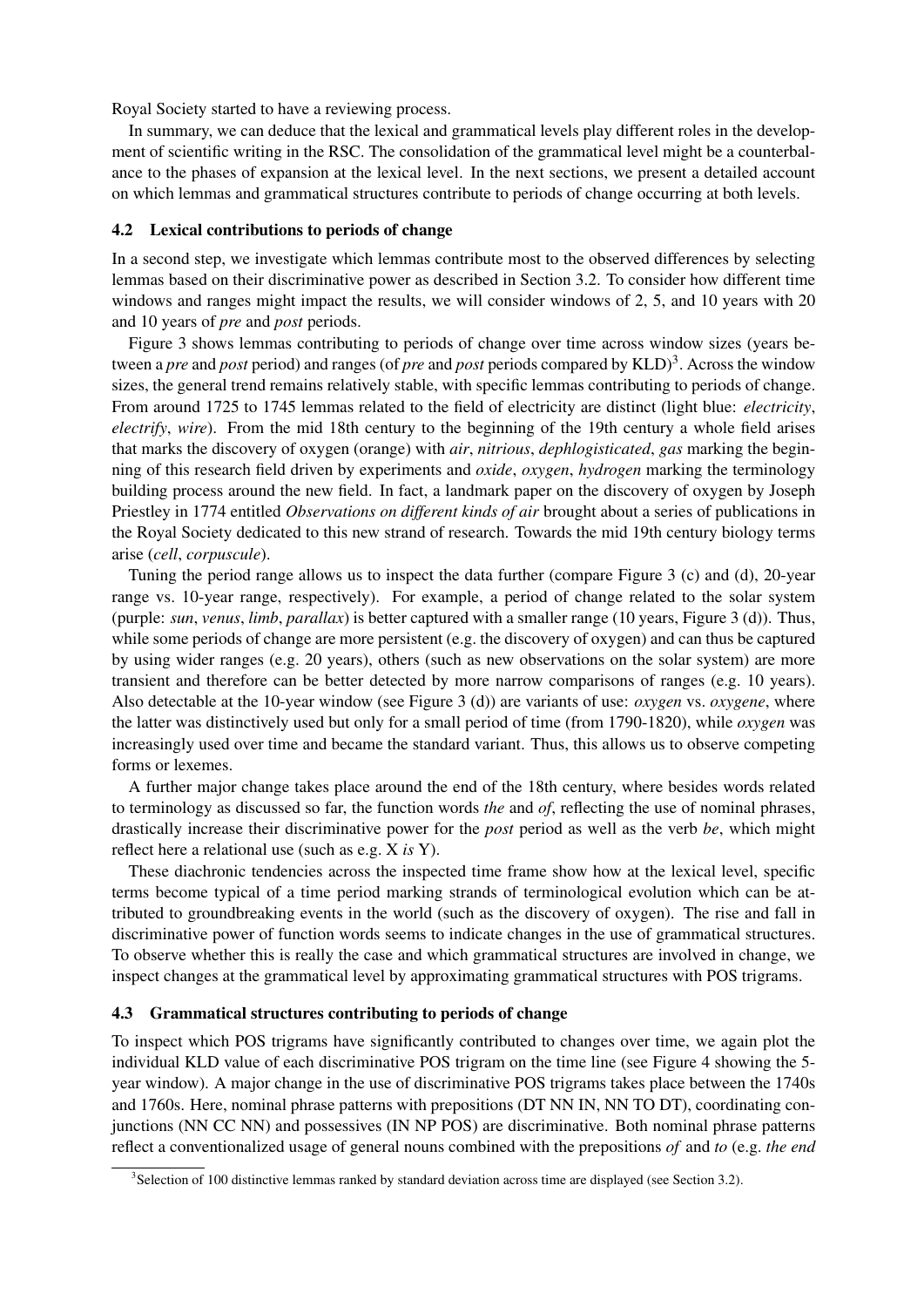Royal Society started to have a reviewing process.

In summary, we can deduce that the lexical and grammatical levels play different roles in the development of scientific writing in the RSC. The consolidation of the grammatical level might be a counterbalance to the phases of expansion at the lexical level. In the next sections, we present a detailed account on which lemmas and grammatical structures contribute to periods of change occurring at both levels.

## 4.2 Lexical contributions to periods of change

In a second step, we investigate which lemmas contribute most to the observed differences by selecting lemmas based on their discriminative power as described in Section 3.2. To consider how different time windows and ranges might impact the results, we will consider windows of 2, 5, and 10 years with 20 and 10 years of *pre* and *post* periods.

Figure 3 shows lemmas contributing to periods of change over time across window sizes (years between a *pre* and *post* period) and ranges (of *pre* and *post* periods compared by KLD)<sup>3</sup>. Across the window sizes, the general trend remains relatively stable, with specific lemmas contributing to periods of change. From around 1725 to 1745 lemmas related to the field of electricity are distinct (light blue: *electricity*, *electrify*, *wire*). From the mid 18th century to the beginning of the 19th century a whole field arises that marks the discovery of oxygen (orange) with *air*, *nitrious*, *dephlogisticated*, *gas* marking the beginning of this research field driven by experiments and *oxide*, *oxygen*, *hydrogen* marking the terminology building process around the new field. In fact, a landmark paper on the discovery of oxygen by Joseph Priestley in 1774 entitled *Observations on different kinds of air* brought about a series of publications in the Royal Society dedicated to this new strand of research. Towards the mid 19th century biology terms arise (*cell*, *corpuscule*).

Tuning the period range allows us to inspect the data further (compare Figure 3 (c) and (d), 20-year range vs. 10-year range, respectively). For example, a period of change related to the solar system (purple: *sun*, *venus*, *limb*, *parallax*) is better captured with a smaller range (10 years, Figure 3 (d)). Thus, while some periods of change are more persistent (e.g. the discovery of oxygen) and can thus be captured by using wider ranges (e.g. 20 years), others (such as new observations on the solar system) are more transient and therefore can be better detected by more narrow comparisons of ranges (e.g. 10 years). Also detectable at the 10-year window (see Figure 3 (d)) are variants of use: *oxygen* vs. *oxygene*, where the latter was distinctively used but only for a small period of time (from 1790-1820), while *oxygen* was increasingly used over time and became the standard variant. Thus, this allows us to observe competing forms or lexemes.

A further major change takes place around the end of the 18th century, where besides words related to terminology as discussed so far, the function words *the* and *of*, reflecting the use of nominal phrases, drastically increase their discriminative power for the *post* period as well as the verb *be*, which might reflect here a relational use (such as e.g. X *is* Y).

These diachronic tendencies across the inspected time frame show how at the lexical level, specific terms become typical of a time period marking strands of terminological evolution which can be attributed to groundbreaking events in the world (such as the discovery of oxygen). The rise and fall in discriminative power of function words seems to indicate changes in the use of grammatical structures. To observe whether this is really the case and which grammatical structures are involved in change, we inspect changes at the grammatical level by approximating grammatical structures with POS trigrams.

## 4.3 Grammatical structures contributing to periods of change

To inspect which POS trigrams have significantly contributed to changes over time, we again plot the individual KLD value of each discriminative POS trigram on the time line (see Figure 4 showing the 5 year window). A major change in the use of discriminative POS trigrams takes place between the 1740s and 1760s. Here, nominal phrase patterns with prepositions (DT NN IN, NN TO DT), coordinating conjunctions (NN CC NN) and possessives (IN NP POS) are discriminative. Both nominal phrase patterns reflect a conventionalized usage of general nouns combined with the prepositions *of* and *to* (e.g. *the end*

<sup>3</sup> Selection of 100 distinctive lemmas ranked by standard deviation across time are displayed (see Section 3.2).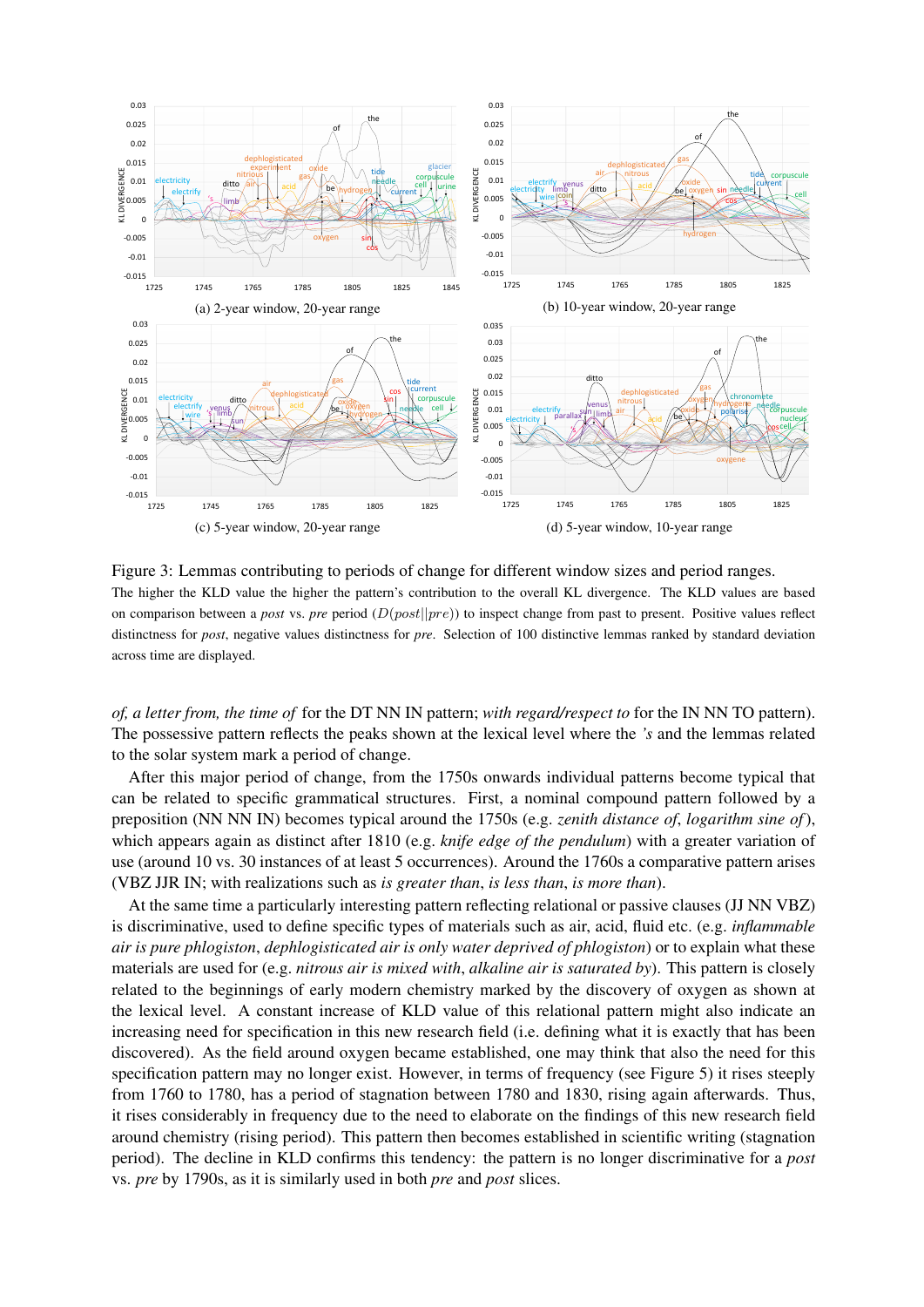

Figure 3: Lemmas contributing to periods of change for different window sizes and period ranges. The higher the KLD value the higher the pattern's contribution to the overall KL divergence. The KLD values are based on comparison between a *post* vs. *pre* period  $(D(post||pre))$  to inspect change from past to present. Positive values reflect distinctness for *post*, negative values distinctness for *pre*. Selection of 100 distinctive lemmas ranked by standard deviation across time are displayed.

*of, a letter from, the time of* for the DT NN IN pattern; *with regard/respect to* for the IN NN TO pattern). The possessive pattern reflects the peaks shown at the lexical level where the *'s* and the lemmas related to the solar system mark a period of change.

After this major period of change, from the 1750s onwards individual patterns become typical that can be related to specific grammatical structures. First, a nominal compound pattern followed by a preposition (NN NN IN) becomes typical around the 1750s (e.g. *zenith distance of*, *logarithm sine of*), which appears again as distinct after 1810 (e.g. *knife edge of the pendulum*) with a greater variation of use (around 10 vs. 30 instances of at least 5 occurrences). Around the 1760s a comparative pattern arises (VBZ JJR IN; with realizations such as *is greater than*, *is less than*, *is more than*).

At the same time a particularly interesting pattern reflecting relational or passive clauses (JJ NN VBZ) is discriminative, used to define specific types of materials such as air, acid, fluid etc. (e.g. *inflammable air is pure phlogiston*, *dephlogisticated air is only water deprived of phlogiston*) or to explain what these materials are used for (e.g. *nitrous air is mixed with*, *alkaline air is saturated by*). This pattern is closely related to the beginnings of early modern chemistry marked by the discovery of oxygen as shown at the lexical level. A constant increase of KLD value of this relational pattern might also indicate an increasing need for specification in this new research field (i.e. defining what it is exactly that has been discovered). As the field around oxygen became established, one may think that also the need for this specification pattern may no longer exist. However, in terms of frequency (see Figure 5) it rises steeply from 1760 to 1780, has a period of stagnation between 1780 and 1830, rising again afterwards. Thus, it rises considerably in frequency due to the need to elaborate on the findings of this new research field around chemistry (rising period). This pattern then becomes established in scientific writing (stagnation period). The decline in KLD confirms this tendency: the pattern is no longer discriminative for a *post* vs. *pre* by 1790s, as it is similarly used in both *pre* and *post* slices.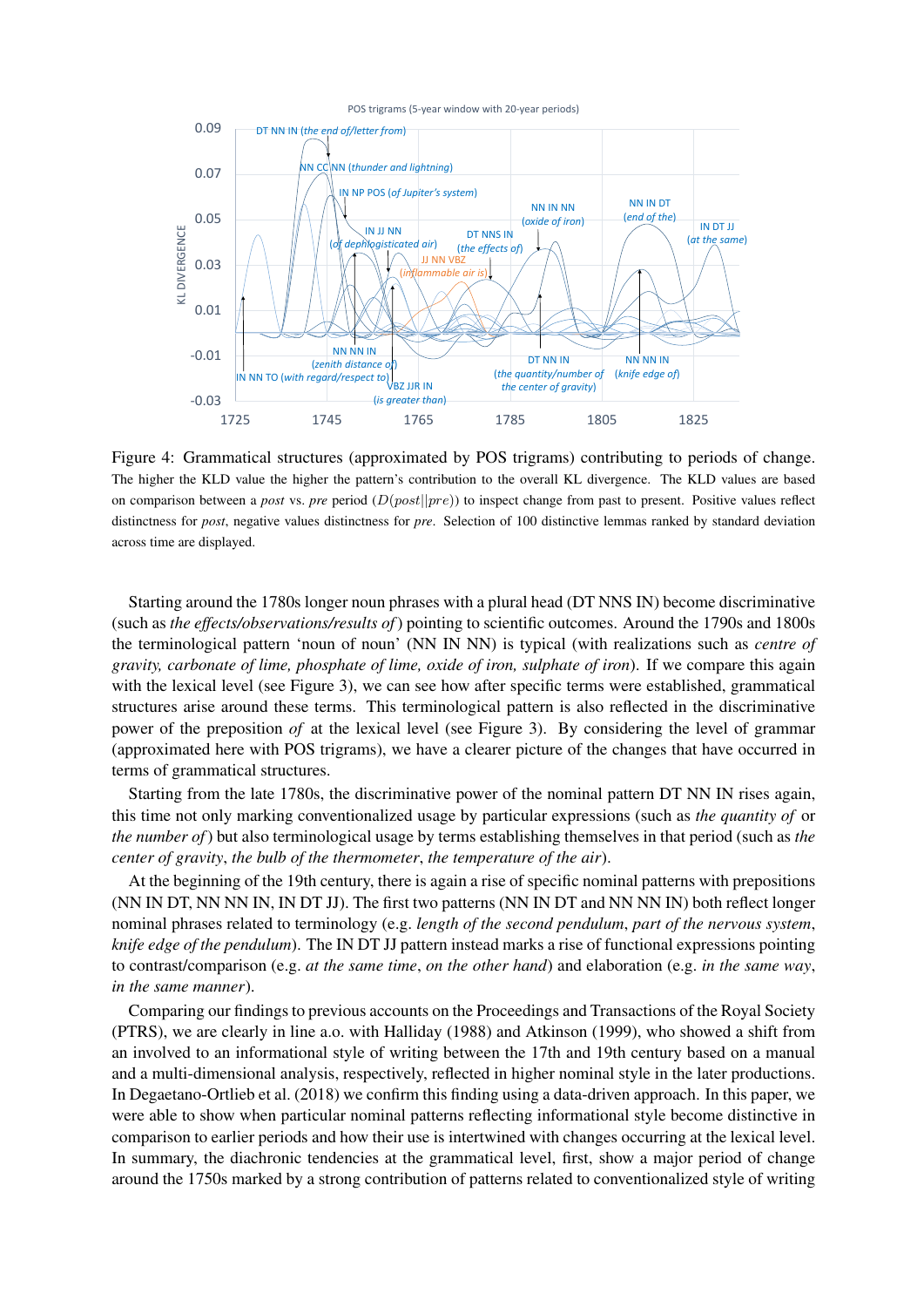

Figure 4: Grammatical structures (approximated by POS trigrams) contributing to periods of change. The higher the KLD value the higher the pattern's contribution to the overall KL divergence. The KLD values are based on comparison between a *post* vs. *pre* period (D(post||pre)) to inspect change from past to present. Positive values reflect distinctness for *post*, negative values distinctness for *pre*. Selection of 100 distinctive lemmas ranked by standard deviation across time are displayed.

Starting around the 1780s longer noun phrases with a plural head (DT NNS IN) become discriminative (such as *the effects/observations/results of*) pointing to scientific outcomes. Around the 1790s and 1800s the terminological pattern 'noun of noun' (NN IN NN) is typical (with realizations such as *centre of gravity, carbonate of lime, phosphate of lime, oxide of iron, sulphate of iron*). If we compare this again with the lexical level (see Figure 3), we can see how after specific terms were established, grammatical structures arise around these terms. This terminological pattern is also reflected in the discriminative power of the preposition *of* at the lexical level (see Figure 3). By considering the level of grammar (approximated here with POS trigrams), we have a clearer picture of the changes that have occurred in terms of grammatical structures.

Starting from the late 1780s, the discriminative power of the nominal pattern DT NN IN rises again, this time not only marking conventionalized usage by particular expressions (such as *the quantity of* or *the number of*) but also terminological usage by terms establishing themselves in that period (such as *the center of gravity*, *the bulb of the thermometer*, *the temperature of the air*).

At the beginning of the 19th century, there is again a rise of specific nominal patterns with prepositions (NN IN DT, NN NN IN, IN DT JJ). The first two patterns (NN IN DT and NN NN IN) both reflect longer nominal phrases related to terminology (e.g. *length of the second pendulum*, *part of the nervous system*, *knife edge of the pendulum*). The IN DT JJ pattern instead marks a rise of functional expressions pointing to contrast/comparison (e.g. *at the same time*, *on the other hand*) and elaboration (e.g. *in the same way*, *in the same manner*).

Comparing our findings to previous accounts on the Proceedings and Transactions of the Royal Society (PTRS), we are clearly in line a.o. with Halliday (1988) and Atkinson (1999), who showed a shift from an involved to an informational style of writing between the 17th and 19th century based on a manual and a multi-dimensional analysis, respectively, reflected in higher nominal style in the later productions. In Degaetano-Ortlieb et al. (2018) we confirm this finding using a data-driven approach. In this paper, we were able to show when particular nominal patterns reflecting informational style become distinctive in comparison to earlier periods and how their use is intertwined with changes occurring at the lexical level. In summary, the diachronic tendencies at the grammatical level, first, show a major period of change around the 1750s marked by a strong contribution of patterns related to conventionalized style of writing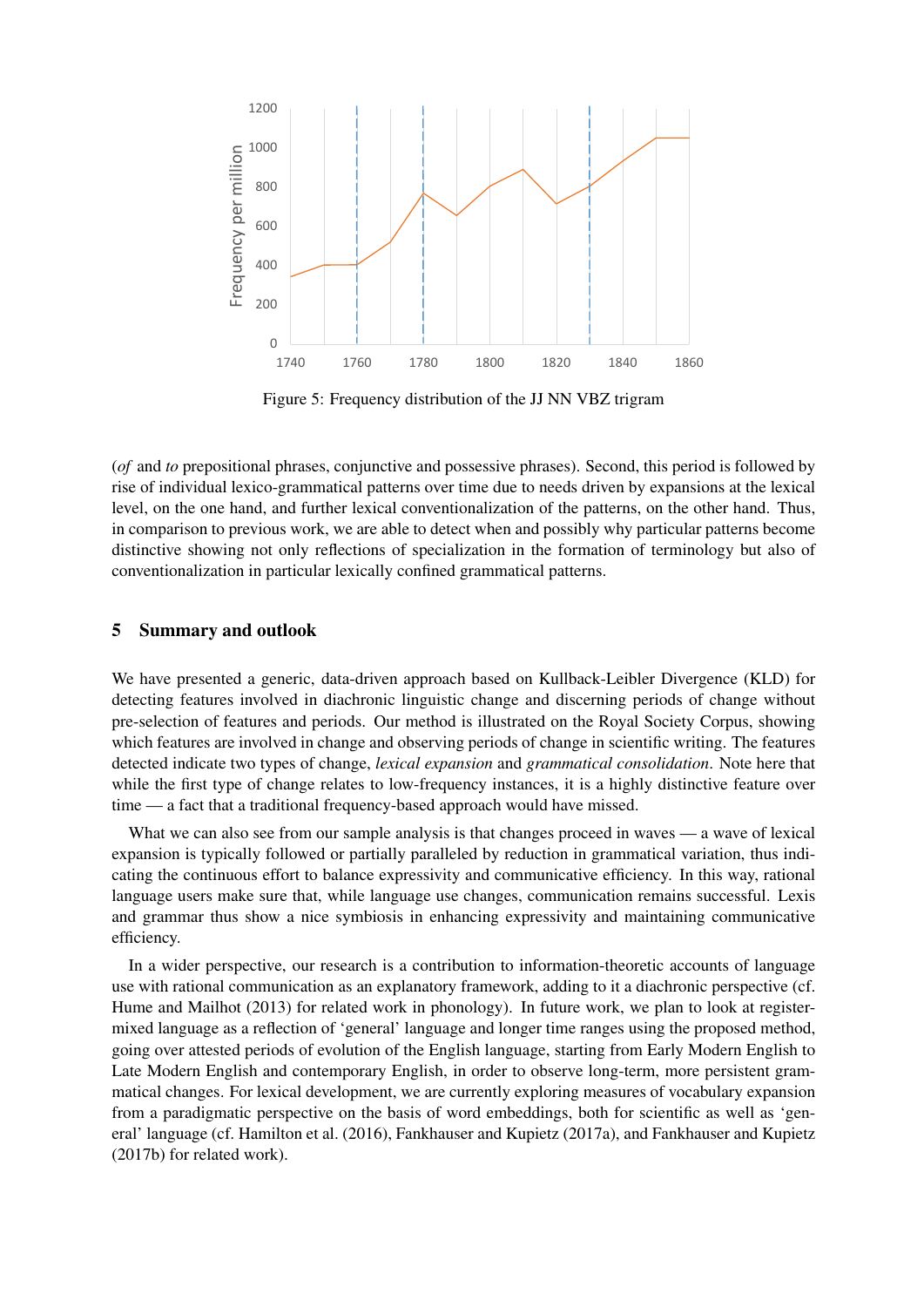

Figure 5: Frequency distribution of the JJ NN VBZ trigram

(*of* and *to* prepositional phrases, conjunctive and possessive phrases). Second, this period is followed by rise of individual lexico-grammatical patterns over time due to needs driven by expansions at the lexical level, on the one hand, and further lexical conventionalization of the patterns, on the other hand. Thus, in comparison to previous work, we are able to detect when and possibly why particular patterns become distinctive showing not only reflections of specialization in the formation of terminology but also of conventionalization in particular lexically confined grammatical patterns.

#### 5 Summary and outlook

We have presented a generic, data-driven approach based on Kullback-Leibler Divergence (KLD) for detecting features involved in diachronic linguistic change and discerning periods of change without pre-selection of features and periods. Our method is illustrated on the Royal Society Corpus, showing which features are involved in change and observing periods of change in scientific writing. The features detected indicate two types of change, *lexical expansion* and *grammatical consolidation*. Note here that while the first type of change relates to low-frequency instances, it is a highly distinctive feature over time — a fact that a traditional frequency-based approach would have missed.

What we can also see from our sample analysis is that changes proceed in waves — a wave of lexical expansion is typically followed or partially paralleled by reduction in grammatical variation, thus indicating the continuous effort to balance expressivity and communicative efficiency. In this way, rational language users make sure that, while language use changes, communication remains successful. Lexis and grammar thus show a nice symbiosis in enhancing expressivity and maintaining communicative efficiency.

In a wider perspective, our research is a contribution to information-theoretic accounts of language use with rational communication as an explanatory framework, adding to it a diachronic perspective (cf. Hume and Mailhot (2013) for related work in phonology). In future work, we plan to look at registermixed language as a reflection of 'general' language and longer time ranges using the proposed method, going over attested periods of evolution of the English language, starting from Early Modern English to Late Modern English and contemporary English, in order to observe long-term, more persistent grammatical changes. For lexical development, we are currently exploring measures of vocabulary expansion from a paradigmatic perspective on the basis of word embeddings, both for scientific as well as 'general' language (cf. Hamilton et al. (2016), Fankhauser and Kupietz (2017a), and Fankhauser and Kupietz (2017b) for related work).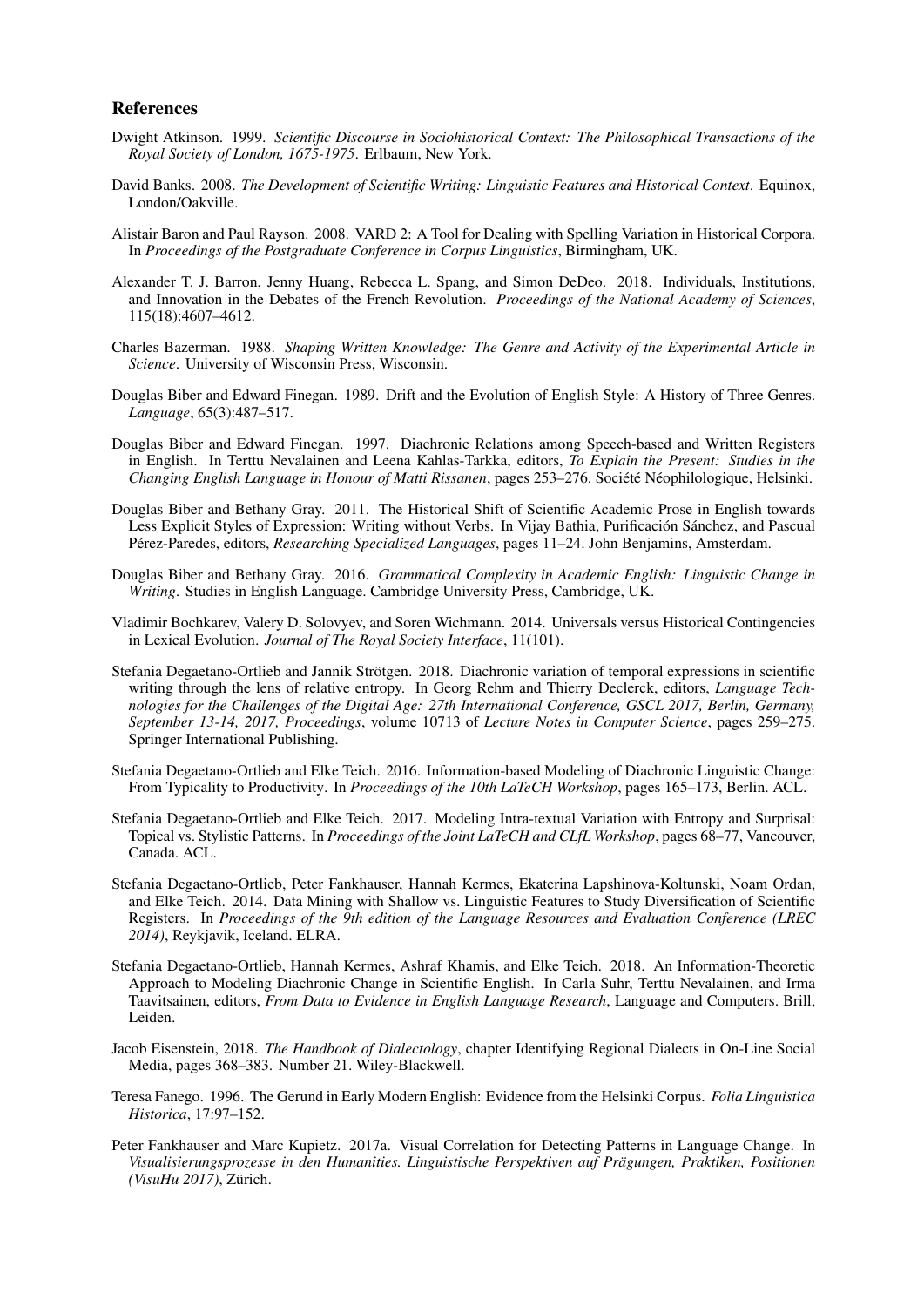#### References

- Dwight Atkinson. 1999. *Scientific Discourse in Sociohistorical Context: The Philosophical Transactions of the Royal Society of London, 1675-1975*. Erlbaum, New York.
- David Banks. 2008. *The Development of Scientific Writing: Linguistic Features and Historical Context*. Equinox, London/Oakville.
- Alistair Baron and Paul Rayson. 2008. VARD 2: A Tool for Dealing with Spelling Variation in Historical Corpora. In *Proceedings of the Postgraduate Conference in Corpus Linguistics*, Birmingham, UK.
- Alexander T. J. Barron, Jenny Huang, Rebecca L. Spang, and Simon DeDeo. 2018. Individuals, Institutions, and Innovation in the Debates of the French Revolution. *Proceedings of the National Academy of Sciences*, 115(18):4607–4612.
- Charles Bazerman. 1988. *Shaping Written Knowledge: The Genre and Activity of the Experimental Article in Science*. University of Wisconsin Press, Wisconsin.
- Douglas Biber and Edward Finegan. 1989. Drift and the Evolution of English Style: A History of Three Genres. *Language*, 65(3):487–517.
- Douglas Biber and Edward Finegan. 1997. Diachronic Relations among Speech-based and Written Registers in English. In Terttu Nevalainen and Leena Kahlas-Tarkka, editors, *To Explain the Present: Studies in the Changing English Language in Honour of Matti Rissanen*, pages 253–276. Société Néophilologique, Helsinki.
- Douglas Biber and Bethany Gray. 2011. The Historical Shift of Scientific Academic Prose in English towards Less Explicit Styles of Expression: Writing without Verbs. In Vijay Bathia, Purificación Sánchez, and Pascual Pérez-Paredes, editors, Researching Specialized Languages, pages 11–24. John Benjamins, Amsterdam.
- Douglas Biber and Bethany Gray. 2016. *Grammatical Complexity in Academic English: Linguistic Change in Writing*. Studies in English Language. Cambridge University Press, Cambridge, UK.
- Vladimir Bochkarev, Valery D. Solovyev, and Soren Wichmann. 2014. Universals versus Historical Contingencies in Lexical Evolution. *Journal of The Royal Society Interface*, 11(101).
- Stefania Degaetano-Ortlieb and Jannik Strötgen. 2018. Diachronic variation of temporal expressions in scientific writing through the lens of relative entropy. In Georg Rehm and Thierry Declerck, editors, *Language Technologies for the Challenges of the Digital Age: 27th International Conference, GSCL 2017, Berlin, Germany, September 13-14, 2017, Proceedings*, volume 10713 of *Lecture Notes in Computer Science*, pages 259–275. Springer International Publishing.
- Stefania Degaetano-Ortlieb and Elke Teich. 2016. Information-based Modeling of Diachronic Linguistic Change: From Typicality to Productivity. In *Proceedings of the 10th LaTeCH Workshop*, pages 165–173, Berlin. ACL.
- Stefania Degaetano-Ortlieb and Elke Teich. 2017. Modeling Intra-textual Variation with Entropy and Surprisal: Topical vs. Stylistic Patterns. In *Proceedings of the Joint LaTeCH and CLfL Workshop*, pages 68–77, Vancouver, Canada. ACL.
- Stefania Degaetano-Ortlieb, Peter Fankhauser, Hannah Kermes, Ekaterina Lapshinova-Koltunski, Noam Ordan, and Elke Teich. 2014. Data Mining with Shallow vs. Linguistic Features to Study Diversification of Scientific Registers. In *Proceedings of the 9th edition of the Language Resources and Evaluation Conference (LREC 2014)*, Reykjavik, Iceland. ELRA.
- Stefania Degaetano-Ortlieb, Hannah Kermes, Ashraf Khamis, and Elke Teich. 2018. An Information-Theoretic Approach to Modeling Diachronic Change in Scientific English. In Carla Suhr, Terttu Nevalainen, and Irma Taavitsainen, editors, *From Data to Evidence in English Language Research*, Language and Computers. Brill, Leiden.
- Jacob Eisenstein, 2018. *The Handbook of Dialectology*, chapter Identifying Regional Dialects in On-Line Social Media, pages 368–383. Number 21. Wiley-Blackwell.
- Teresa Fanego. 1996. The Gerund in Early Modern English: Evidence from the Helsinki Corpus. *Folia Linguistica Historica*, 17:97–152.
- Peter Fankhauser and Marc Kupietz. 2017a. Visual Correlation for Detecting Patterns in Language Change. In *Visualisierungsprozesse in den Humanities. Linguistische Perspektiven auf Pragungen, Praktiken, Positionen ¨ (VisuHu 2017)*, Zurich. ¨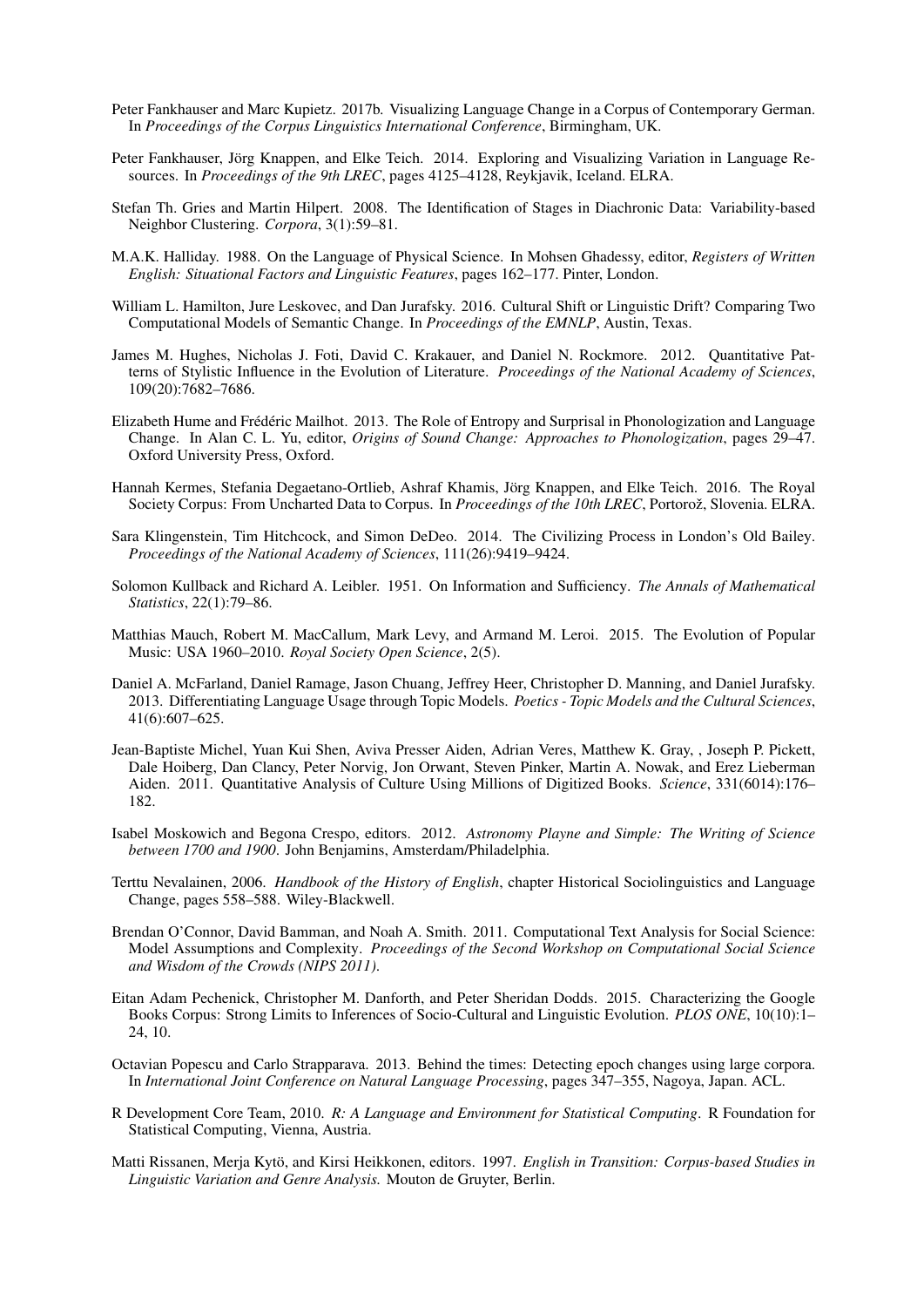- Peter Fankhauser and Marc Kupietz. 2017b. Visualizing Language Change in a Corpus of Contemporary German. In *Proceedings of the Corpus Linguistics International Conference*, Birmingham, UK.
- Peter Fankhauser, Jörg Knappen, and Elke Teich. 2014. Exploring and Visualizing Variation in Language Resources. In *Proceedings of the 9th LREC*, pages 4125–4128, Reykjavik, Iceland. ELRA.
- Stefan Th. Gries and Martin Hilpert. 2008. The Identification of Stages in Diachronic Data: Variability-based Neighbor Clustering. *Corpora*, 3(1):59–81.
- M.A.K. Halliday. 1988. On the Language of Physical Science. In Mohsen Ghadessy, editor, *Registers of Written English: Situational Factors and Linguistic Features*, pages 162–177. Pinter, London.
- William L. Hamilton, Jure Leskovec, and Dan Jurafsky. 2016. Cultural Shift or Linguistic Drift? Comparing Two Computational Models of Semantic Change. In *Proceedings of the EMNLP*, Austin, Texas.
- James M. Hughes, Nicholas J. Foti, David C. Krakauer, and Daniel N. Rockmore. 2012. Quantitative Patterns of Stylistic Influence in the Evolution of Literature. *Proceedings of the National Academy of Sciences*, 109(20):7682–7686.
- Elizabeth Hume and Frédéric Mailhot. 2013. The Role of Entropy and Surprisal in Phonologization and Language Change. In Alan C. L. Yu, editor, *Origins of Sound Change: Approaches to Phonologization*, pages 29–47. Oxford University Press, Oxford.
- Hannah Kermes, Stefania Degaetano-Ortlieb, Ashraf Khamis, Jorg Knappen, and Elke Teich. 2016. The Royal ¨ Society Corpus: From Uncharted Data to Corpus. In *Proceedings of the 10th LREC*, Portorož, Slovenia. ELRA.
- Sara Klingenstein, Tim Hitchcock, and Simon DeDeo. 2014. The Civilizing Process in London's Old Bailey. *Proceedings of the National Academy of Sciences*, 111(26):9419–9424.
- Solomon Kullback and Richard A. Leibler. 1951. On Information and Sufficiency. *The Annals of Mathematical Statistics*, 22(1):79–86.
- Matthias Mauch, Robert M. MacCallum, Mark Levy, and Armand M. Leroi. 2015. The Evolution of Popular Music: USA 1960–2010. *Royal Society Open Science*, 2(5).
- Daniel A. McFarland, Daniel Ramage, Jason Chuang, Jeffrey Heer, Christopher D. Manning, and Daniel Jurafsky. 2013. Differentiating Language Usage through Topic Models. *Poetics - Topic Models and the Cultural Sciences*, 41(6):607–625.
- Jean-Baptiste Michel, Yuan Kui Shen, Aviva Presser Aiden, Adrian Veres, Matthew K. Gray, , Joseph P. Pickett, Dale Hoiberg, Dan Clancy, Peter Norvig, Jon Orwant, Steven Pinker, Martin A. Nowak, and Erez Lieberman Aiden. 2011. Quantitative Analysis of Culture Using Millions of Digitized Books. *Science*, 331(6014):176– 182.
- Isabel Moskowich and Begona Crespo, editors. 2012. *Astronomy Playne and Simple: The Writing of Science between 1700 and 1900*. John Benjamins, Amsterdam/Philadelphia.
- Terttu Nevalainen, 2006. *Handbook of the History of English*, chapter Historical Sociolinguistics and Language Change, pages 558–588. Wiley-Blackwell.
- Brendan O'Connor, David Bamman, and Noah A. Smith. 2011. Computational Text Analysis for Social Science: Model Assumptions and Complexity. *Proceedings of the Second Workshop on Computational Social Science and Wisdom of the Crowds (NIPS 2011)*.
- Eitan Adam Pechenick, Christopher M. Danforth, and Peter Sheridan Dodds. 2015. Characterizing the Google Books Corpus: Strong Limits to Inferences of Socio-Cultural and Linguistic Evolution. *PLOS ONE*, 10(10):1– 24, 10.
- Octavian Popescu and Carlo Strapparava. 2013. Behind the times: Detecting epoch changes using large corpora. In *International Joint Conference on Natural Language Processing*, pages 347–355, Nagoya, Japan. ACL.
- R Development Core Team, 2010. *R: A Language and Environment for Statistical Computing*. R Foundation for Statistical Computing, Vienna, Austria.
- Matti Rissanen, Merja Kytö, and Kirsi Heikkonen, editors. 1997. English in Transition: Corpus-based Studies in *Linguistic Variation and Genre Analysis.* Mouton de Gruyter, Berlin.